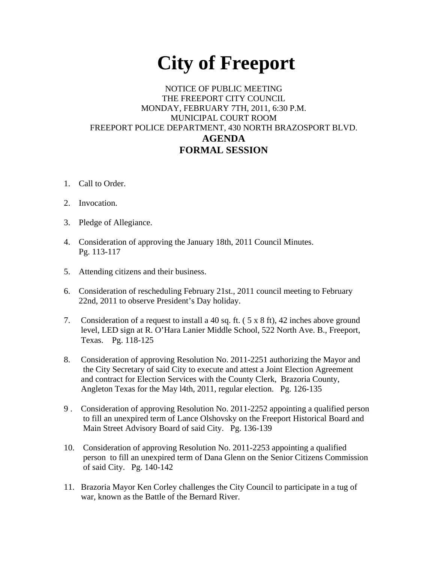## **City of Freeport**

## NOTICE OF PUBLIC MEETING THE FREEPORT CITY COUNCIL MONDAY, FEBRUARY 7TH, 2011, 6:30 P.M. MUNICIPAL COURT ROOM FREEPORT POLICE DEPARTMENT, 430 NORTH BRAZOSPORT BLVD. **AGENDA FORMAL SESSION**

- 1. Call to Order.
- 2. Invocation.
- 3. Pledge of Allegiance.
- 4. Consideration of approving the January 18th, 2011 Council Minutes. Pg. 113-117
- 5. Attending citizens and their business.
- 6. Consideration of rescheduling February 21st., 2011 council meeting to February 22nd, 2011 to observe President's Day holiday.
- 7. Consideration of a request to install a 40 sq. ft.  $(5 \times 8 \text{ ft})$ , 42 inches above ground level, LED sign at R. O'Hara Lanier Middle School, 522 North Ave. B., Freeport, Texas. Pg. 118-125
- 8. Consideration of approving Resolution No. 2011-2251 authorizing the Mayor and the City Secretary of said City to execute and attest a Joint Election Agreement and contract for Election Services with the County Clerk, Brazoria County, Angleton Texas for the May l4th, 2011, regular election. Pg. 126-135
- 9 . Consideration of approving Resolution No. 2011-2252 appointing a qualified person to fill an unexpired term of Lance Olshovsky on the Freeport Historical Board and Main Street Advisory Board of said City. Pg. 136-139
- 10. Consideration of approving Resolution No. 2011-2253 appointing a qualified person to fill an unexpired term of Dana Glenn on the Senior Citizens Commission of said City. Pg. 140-142
- 11. Brazoria Mayor Ken Corley challenges the City Council to participate in a tug of war, known as the Battle of the Bernard River.